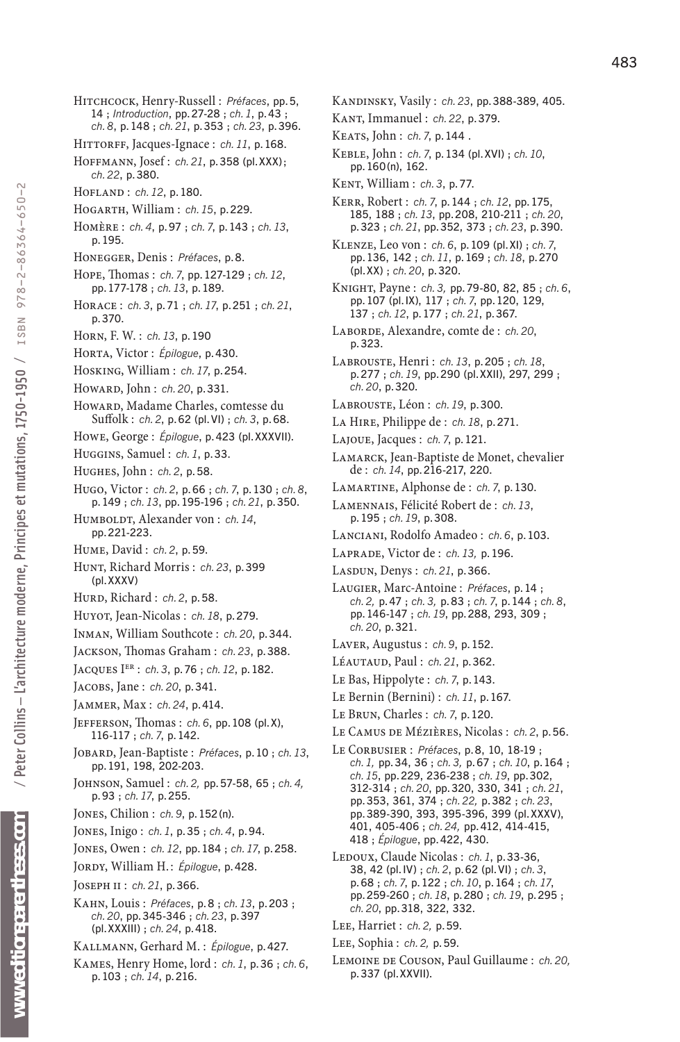www.editionsparentheses.com

- Hitchcock, Henry-Russell : *Préfaces*, pp.5, 14 ; *Introduction*, pp.27-28 ; *ch. 1*, p.43 ; *ch. 8*, p.148 ; *ch.21*, p.353 ; *ch.23*, p.396.
- HITTORFF, Jacques-Ignace : *ch.11*, p.168.
- Hoffmann, Josef : *ch.21*, p.358 (pl.XXX) ; *ch.22*, p.380.
- Hofland : *ch.12*, p.180.
- Hogarth, William : *ch.15*, p.229.
- Homère : *ch. 4*, p.97 ; *ch. 7*, p.143 ; *ch.13*, p.195.
- Honegger, Denis : *Préfaces*, p.8.
- Hope, Thomas : *ch. 7*, pp.127-129 ; *ch.12*, pp.177-178 ; *ch.13*, p.189.
- Horace : *ch. 3*, p.71 ; *ch.17*, p.251 ; *ch.21*, p.370.
- Horn, F. W. : *ch.13*, p.190
- Horta, Victor : *Épilogue*, p.430.
- Hosking, William : *ch.17*, p.254.
- Howard, John : *ch.20*, p.331.
- Howard, Madame Charles, comtesse du Suffolk : *ch. 2*, p.62 (pl. Vi) ; *ch. 3*, p.68.
- Howe, George : *Épilogue*, p.423 (pl.XXXVii).
- Huggins, Samuel : *ch. 1*, p.33.
- Hughes, John : *ch. 2*, p.58.
- Hugo, Victor : *ch. 2*, p.66 ; *ch. 7*, p.130 ; *ch. 8*, p.149 ; *ch.13*, pp.195-196 ; *ch.21*, p.350.
- HUMBOLDT, Alexander von : *ch. 14*, pp.221-223.
- Hume, David : *ch. 2*, p.59.
- Hunt, Richard Morris : *ch.23*, p.399 (pl.XXXV)
- Hurd, Richard : *ch. 2*, p.58.
- Huyot, Jean-Nicolas : *ch.18*, p.279.
- Inman, William Southcote : *ch.20*, p.344.
- Jackson, Thomas Graham : *ch.23*, p.388.
- Jacques Ier : *ch. 3*, p.76 ; *ch.12*, p.182.
- Jacobs, Jane : *ch.20*, p.341.
- Jammer, Max : *ch.24*, p.414.
- Jefferson, Thomas : *ch. 6*, pp.108 (pl.X), 116-117 ; *ch. 7*, p.142.
- Jobard, Jean-Baptiste : *Préfaces*, p.10 ; *ch.13*, pp.191, 198, 202-203.
- Johnson, Samuel : *ch.2,* pp.57-58, 65 ; *ch.4,* p.93 ; *ch.17*, p.255.
- Jones, Chilion : *ch. 9*, p.152(n).
- Jones, Inigo : *ch. 1*, p.35 ; *ch. 4*, p.94.
- Jones, Owen : *ch.12*, pp.184 ; *ch.17*, p.258.
- JORDY, William H.: *Épilogue*, p.428.
- Joseph ii : *ch.21*, p.366.
- Kahn, Louis : *Préfaces*, p. 8 ; *ch.13*, p.203 ; *ch.20*, pp.345-346 ; *ch.23*, p.397 (pl.XXXiii) ; *ch.24*, p.418.
- Kallmann, Gerhard M. : *Épilogue*, p.427.
- Kames, Henry Home, lord : *ch. 1*, p.36 ; *ch. 6*, p.103 ; *ch.14*, p.216.
- Kandinsky, Vasily : *ch.23*, pp.388-389, 405.
- Kant, Immanuel : *ch.22*, p.379.
- Keats, John : *ch. 7*, p.144 .
- Keble, John : *ch. 7*, p.134 (pl.XVi) ; *ch.10*, pp.160(n), 162.
- Kent, William : *ch. 3*, p.77.
- Kerr, Robert : *ch. 7*, p.144 ; *ch.12*, pp.175, 185, 188 ; *ch.13*, pp.208, 210-211 ; *ch.20*, p.323 ; *ch.21*, pp.352, 373 ; *ch.23*, p.390.
- Klenze, Leo von : *ch. 6*, p.109 (pl. Xi) ; *ch. 7*, pp.136, 142 ; *ch.11*, p.169 ; *ch.18*, p.270 (pl.XX) ; *ch.20*, p.320.
- Knight, Payne : *ch.3,* pp.79-80, 82, 85 ; *ch. 6*, pp.107 (pl. iX), 117 ; *ch. 7*, pp.120, 129, 137 ; *ch.12*, p.177 ; *ch.21*, p.367.
- Laborde, Alexandre, comte de : *ch.20*, p.323.
- Labrouste, Henri : *ch.13*, p.205 ; *ch.18*, p.277 ; *ch.19*, pp.290 (pl.XXii), 297, 299 ; *ch.20*, p.320.
- Labrouste, Léon : *ch.19*, p.300.
- La Hire, Philippe de : *ch.18*, p.271.
- Lajoue, Jacques : *ch. 7*, p.121.
- Lamarck, Jean-Baptiste de Monet, chevalier de : *ch.14*, pp.216-217, 220.
- Lamartine, Alphonse de : *ch. 7*, p.130.
- Lamennais, Félicité Robert de : *ch.13*, p.195 ; *ch.19*, p.308.
- Lanciani, Rodolfo Amadeo : *ch. 6*, p.103.
- Laprade, Victor de : *ch.13,* p.196.
- Lasdun, Denys : *ch.21*, p.366.
- Laugier, Marc-Antoine : *Préfaces*, p.14 ; *ch.2,* p.47 ; *ch.3,* p.83 ; *ch. 7*, p.144 ; *ch. 8*, pp.146-147 ; *ch.19*, pp.288, 293, 309 ; *ch.20*, p.321.
- Laver, Augustus : *ch. 9*, p.152.
- Léautaud, Paul : *ch.21*, p.362.
- Le Bas, Hippolyte : *ch. 7*, p.143.
- Le Bernin (Bernini) : *ch.11*, p.167.
- Le Brun, Charles : *ch. 7*, p.120.
- Le Camus de Mézières, Nicolas : *ch. 2*, p.56.
- Le Corbusier : *Préfaces*, p.8, 10, 18-19 ; *ch.1,* pp.34, 36 ; *ch.3,* p.67 ; *ch.10*, p.164 ; *ch.15*, pp.229, 236-238 ; *ch.19*, pp.302, 312-314 ; *ch.20*, pp.320, 330, 341 ; *ch.21*, pp.353, 361, 374 ; *ch.22,* p.382 ; *ch.23*, pp.389-390, 393, 395-396, 399 (pl.XXXV), 401, 405-406 ; *ch.24,* pp.412, 414-415, 418 ; *Épilogue*, pp.422, 430.
- Ledoux, Claude Nicolas : *ch. 1*, p.33-36, 38, 42 (pl. iV) ; *ch. 2*, p.62 (pl. Vi) ; *ch. 3*, p.68 ; *ch. 7*, p.122 ; *ch.10*, p.164 ; *ch.17*, pp.259-260 ; *ch.18*, p.280 ; *ch.19*, p.295 ; *ch.20*, pp.318, 322, 332.
- Lee, Harriet : *ch.2,* p.59.
- Lee, Sophia : *ch.2,* p.59.
- Lemoine de Couson, Paul Guillaume : *ch.20,* p.337 (pl.XXVii).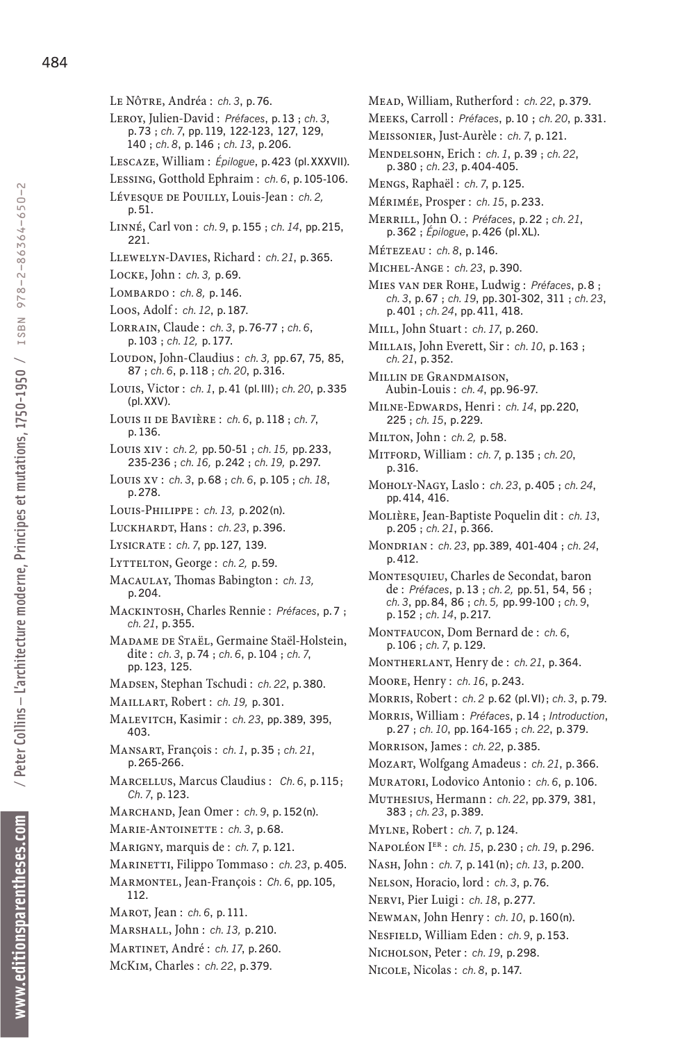- Le Nôtre, Andréa : *ch. 3*, p.76.
- Leroy, Julien-David : *Préfaces*, p.13 ; *ch. 3*, p.73 ; *ch. 7*, pp.119, 122-123, 127, 129, 140 ; *ch. 8*, p.146 ; *ch.13*, p.206.
- Lescaze, William : *Épilogue*, p.423 (pl.XXXVii).
- Lessing, Gotthold Ephraim : *ch. 6*, p.105-106.
- Lévesque de Pouilly, Louis-Jean : *ch.2,* p.51.
- Linné, Carl von : *ch. 9*, p.155 ; *ch.14*, pp.215, 221.
- Llewelyn-Davies, Richard : *ch.21*, p.365.
- Locke, John : *ch.3,* p.69.
- Lombardo : *ch.8,* p.146.
- Loos, Adolf : *ch.12*, p.187.
- Lorrain, Claude : *ch. 3*, p.76-77 ; *ch. 6*, p.103 ; *ch.12,* p.177.
- Loupon, John-Claudius : *ch. 3*, pp. 67, 75, 85, 87 ; *ch. 6*, p.118 ; *ch.20*, p.316.
- Louis, Victor : *ch. 1*, p.41 (pl. iii) ; *ch.20*, p.335 (pl.XXV).
- Louis ii de Bavière : *ch. 6*, p.118 ; *ch. 7*, p.136.
- Louis xiv : *ch.2,* pp.50-51 ; *ch.15,* pp.233, 235-236 ; *ch.16,* p.242 ; *ch.19,* p.297.
- Louis xv : *ch. 3*, p.68 ; *ch. 6*, p.105 ; *ch.18*, p.278.
- Louis-Philippe : *ch.13,* p.202(n).
- Luckhardt, Hans : *ch.23*, p.396.
- Lysicrate : *ch. 7*, pp.127, 139.
- Lyttelton, George : *ch.2,* p.59.
- Macaulay, Thomas Babington : *ch.13,* p.204.
- Mackintosh, Charles Rennie : *Préfaces*, p. 7 ; *ch.21*, p.355.
- Madame de Staël, Germaine Staël-Holstein, dite : *ch. 3*, p.74 ; *ch. 6*, p.104 ; *ch. 7*, pp.123, 125.
- Madsen, Stephan Tschudi : *ch.22*, p.380.
- Maillart, Robert : *ch.19,* p.301.
- Malevitch, Kasimir : *ch.23*, pp.389, 395, 403.
- Mansart, François : *ch. 1*, p.35 ; *ch.21*, p.265-266.
- Marcellus, Marcus Claudius : *Ch. 6*, p.115 ; *Ch. 7*, p.123.
- Marchand, Jean Omer : *ch. 9*, p.152(n).
- Marie-Antoinette : *ch. 3*, p.68.
- Marigny, marquis de : *ch. 7*, p.121.
- Marinetti, Filippo Tommaso : *ch.23*, p.405.
- Marmontel, Jean-François : *Ch. 6*, pp.105, 112.
- Marot, Jean : *ch. 6*, p.111.
- Marshall, John : *ch.13,* p.210.
- Martinet, André : *ch.17*, p.260.
- McKim, Charles : *ch.22*, p.379.
- Mead, William, Rutherford : *ch.22*, p.379.
- Meeks, Carroll : *Préfaces*, p.10 ; *ch.20*, p.331.
- Meissonier, Just-Aurèle : *ch. 7*, p.121.
- Mendelsohn, Erich : *ch. 1*, p.39 ; *ch.22*, p.380 ; *ch.23*, p.404-405.
- Mengs, Raphaël : *ch. 7*, p.125.
- Mérimée, Prosper : *ch.15*, p.233.
- Merrill, John O. : *Préfaces*, p.22 ; *ch.21*, p.362 ; *Épilogue*, p.426 (pl. Xl).
- Métezeau : *ch. 8*, p.146.
- Michel-Ange : *ch.23*, p.390.
- Mies van der Rohe, Ludwig : *Préfaces*, p. 8 ; *ch. 3*, p.67 ; *ch.19*, pp.301-302, 311 ; *ch.23*, p.401 ; *ch.24*, pp.411, 418.
- Mill, John Stuart : *ch.17*, p.260.
- Millais, John Everett, Sir : *ch.10*, p.163 ; *ch.21*, p.352.
- Millin de Grandmaison, Aubin-Louis : *ch. 4*, pp.96-97.
- Milne-Edwards, Henri : *ch.14*, pp.220, 225 ; *ch.15*, p.229.
- Milton, John : *ch.2,* p.58.
- Mitford, William : *ch. 7*, p.135 ; *ch.20*, p.316.
- Moholy-Nagy, Laslo : *ch.23*, p.405 ; *ch.24*, pp.414, 416.
- Molière, Jean-Baptiste Poquelin dit : *ch.13*, p.205 ; *ch.21*, p.366.
- Mondrian : *ch.23*, pp.389, 401-404 ; *ch.24*, p.412.
- Montesquieu, Charles de Secondat, baron de : *Préfaces*, p.13 ; *ch.2,* pp.51, 54, 56 ; *ch. 3*, pp.84, 86 ; *ch.5,* pp.99-100 ; *ch. 9*, p.152 ; *ch.14*, p.217.
- Montfaucon, Dom Bernard de : *ch. 6*, p.106 ; *ch. 7*, p.129.
- Montherlant, Henry de : *ch.21*, p.364.
- Moore, Henry : *ch.16*, p.243.
- Morris, Robert : *ch. 2* p.62 (pl. Vi) ; *ch. 3*, p.79.
- Morris, William : *Préfaces*, p.14 ; *Introduction*, p.27 ; *ch.10*, pp.164-165 ; *ch.22*, p.379.
- Morrison, James : *ch.22*, p.385.
- Mozart, Wolfgang Amadeus : *ch.21*, p.366.
- Muratori, Lodovico Antonio : *ch. 6*, p.106.
- Muthesius, Hermann : *ch.22*, pp.379, 381, 383 ; *ch.23*, p.389.
- Mylne, Robert : *ch. 7*, p.124.
- Napoléon Ier : *ch.15*, p.230 ; *ch.19*, p.296.
- Nash, John : *ch. 7*, p.141(n); *ch.13*, p.200.
- Nelson, Horacio, lord : *ch. 3*, p.76.
- Nervi, Pier Luigi : *ch.18*, p.277.
- Newman, John Henry : *ch.10*, p.160(n).
- Nesfield, William Eden : *ch. 9*, p.153.
- Nicholson, Peter : *ch.19*, p.298.
	- Nicole, Nicolas : *ch. 8*, p.147.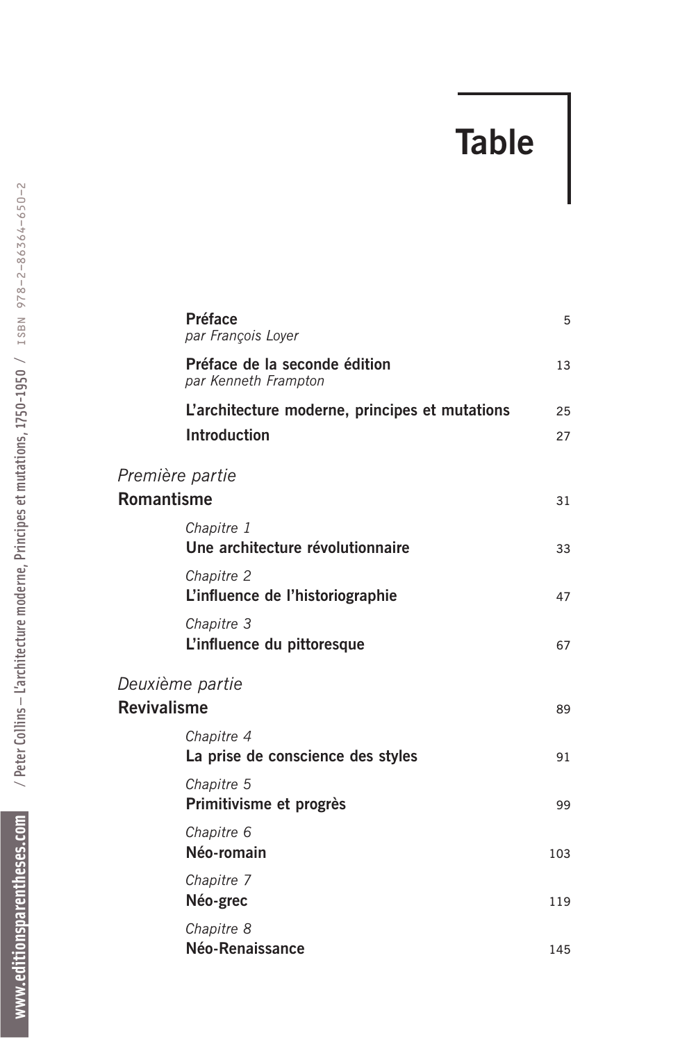## **Table**

|                    | <b>Préface</b><br>par François Loyer                                  | 5        |
|--------------------|-----------------------------------------------------------------------|----------|
|                    | Préface de la seconde édition<br>par Kenneth Frampton                 | 13       |
|                    | L'architecture moderne, principes et mutations<br><b>Introduction</b> | 25<br>27 |
| Première partie    |                                                                       |          |
| <b>Romantisme</b>  |                                                                       | 31       |
|                    | Chapitre 1<br>Une architecture révolutionnaire                        | 33       |
|                    | Chapitre 2<br>L'influence de l'historiographie                        | 47       |
|                    | Chapitre 3<br>L'influence du pittoresque                              | 67       |
|                    | Deuxième partie                                                       |          |
| <b>Revivalisme</b> |                                                                       | 89       |
|                    | Chapitre 4<br>La prise de conscience des styles                       | 91       |
|                    | Chapitre 5<br>Primitivisme et progrès                                 | 99       |
|                    | Chapitre 6<br>Néo-romain                                              | 103      |
|                    | Chapitre 7<br>Néo-grec                                                | 119      |
|                    | Chapitre 8<br>Néo-Renaissance                                         | 145      |